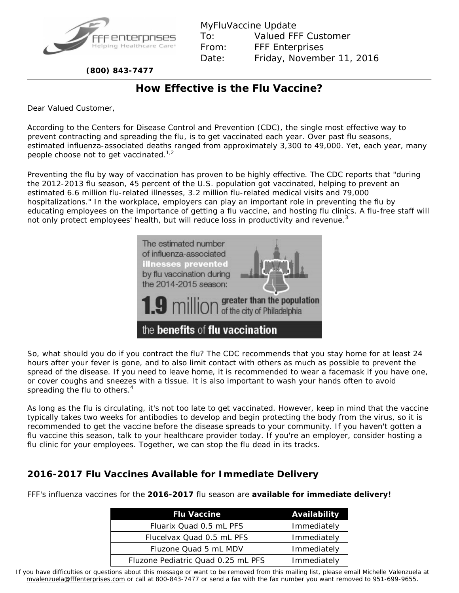

MyFluVaccine Update To: Valued FFF Customer From: FFF Enterprises Date: Friday, November 11, 2016

 **(800) 843-7477**

## **How Effective is the Flu Vaccine?**

Dear Valued Customer,

According to the Centers for Disease Control and Prevention (CDC), the single most effective way to prevent contracting and spreading the flu, is to get vaccinated each year. Over past flu seasons, estimated influenza-associated deaths ranged from approximately 3,300 to 49,000. Yet, each year, many people choose not to get vaccinated. $1.2$ 

Preventing the flu by way of vaccination has proven to be highly effective. The CDC reports that "during the 2012-2013 flu season, 45 percent of the U.S. population got vaccinated, helping to prevent an estimated 6.6 million flu-related illnesses, 3.2 million flu-related medical visits and 79,000 hospitalizations." In the workplace, employers can play an important role in preventing the flu by educating employees on the importance of getting a flu vaccine, and hosting flu clinics. A flu-free staff will not only protect employees' health, but will reduce loss in productivity and revenue.<sup>3</sup>



So, what should you do if you contract the flu? The CDC recommends that you stay home for at least 24 hours after your fever is gone, and to also limit contact with others as much as possible to prevent the spread of the disease. If you need to leave home, it is recommended to wear a facemask if you have one, or cover coughs and sneezes with a tissue. It is also important to wash your hands often to avoid spreading the flu to others. $4$ 

As long as the flu is circulating, it's not too late to get vaccinated. However, keep in mind that the vaccine typically takes two weeks for antibodies to develop and begin protecting the body from the virus, so it is recommended to get the vaccine before the disease spreads to your community. If you haven't gotten a flu vaccine this season, talk to your healthcare provider today. If you're an employer, consider hosting a flu clinic for your employees. Together, we can stop the flu dead in its tracks.

## **2016-2017 Flu Vaccines Available for Immediate Delivery**

FFF's influenza vaccines for the **2016-2017** flu season are **available for immediate delivery!**

| <b>Flu Vaccine</b>                 | Availability |
|------------------------------------|--------------|
| Fluarix Quad 0.5 mL PFS            | Immediately  |
| Flucelvax Quad 0.5 mL PFS          | Immediately  |
| Fluzone Quad 5 mL MDV              | Immediately  |
| Fluzone Pediatric Quad 0.25 mL PFS | Immediately  |

If you have difficulties or questions about this message or want to be removed from this mailing list, please email Michelle Valenzuela at [mvalenzuela@fffenterprises.com](mailto:mvalenzuela@fffenterprises.com) or call at 800-843-7477 or send a fax with the fax number you want removed to 951-699-9655.